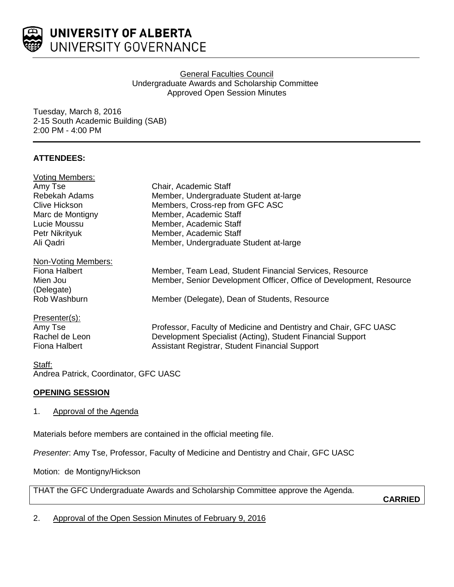

## General Faculties Council Undergraduate Awards and Scholarship Committee Approved Open Session Minutes

Tuesday, March 8, 2016 2-15 South Academic Building (SAB) 2:00 PM - 4:00 PM

# **ATTENDEES:**

| <b>Voting Members:</b>                |                                                                     |
|---------------------------------------|---------------------------------------------------------------------|
| Amy Tse                               | Chair, Academic Staff                                               |
| Rebekah Adams                         | Member, Undergraduate Student at-large                              |
| <b>Clive Hickson</b>                  | Members, Cross-rep from GFC ASC                                     |
| Marc de Montigny                      | Member, Academic Staff                                              |
| Lucie Moussu                          | Member, Academic Staff                                              |
| Petr Nikrityuk                        | Member, Academic Staff                                              |
| Ali Qadri                             | Member, Undergraduate Student at-large                              |
| Non-Voting Members:                   |                                                                     |
| Fiona Halbert                         | Member, Team Lead, Student Financial Services, Resource             |
| Mien Jou                              | Member, Senior Development Officer, Office of Development, Resource |
| (Delegate)                            |                                                                     |
| Rob Washburn                          | Member (Delegate), Dean of Students, Resource                       |
| Presenter(s):                         |                                                                     |
| Amy Tse                               | Professor, Faculty of Medicine and Dentistry and Chair, GFC UASC    |
| Rachel de Leon                        | Development Specialist (Acting), Student Financial Support          |
| <b>Fiona Halbert</b>                  | Assistant Registrar, Student Financial Support                      |
| Staff:                                |                                                                     |
| Andrea Patrick, Coordinator, GFC UASC |                                                                     |

## **OPENING SESSION**

## 1. Approval of the Agenda

Materials before members are contained in the official meeting file.

*Presenter*: Amy Tse, Professor, Faculty of Medicine and Dentistry and Chair, GFC UASC

Motion: de Montigny/Hickson

THAT the GFC Undergraduate Awards and Scholarship Committee approve the Agenda.

**CARRIED**

2. Approval of the Open Session Minutes of February 9, 2016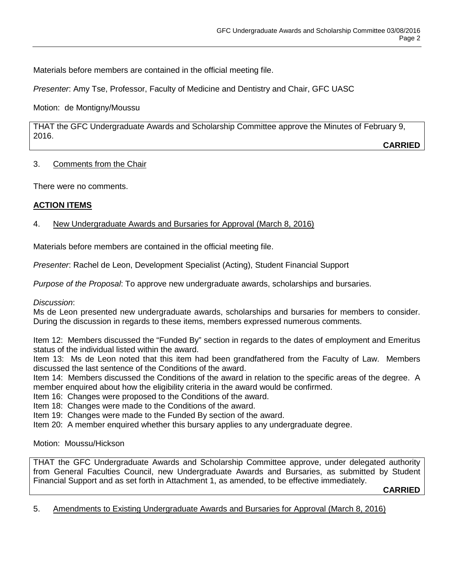Materials before members are contained in the official meeting file.

*Presenter*: Amy Tse, Professor, Faculty of Medicine and Dentistry and Chair, GFC UASC

Motion: de Montigny/Moussu

THAT the GFC Undergraduate Awards and Scholarship Committee approve the Minutes of February 9, 2016.

**CARRIED**

## 3. Comments from the Chair

There were no comments.

# **ACTION ITEMS**

# 4. New Undergraduate Awards and Bursaries for Approval (March 8, 2016)

Materials before members are contained in the official meeting file.

*Presenter*: Rachel de Leon, Development Specialist (Acting), Student Financial Support

*Purpose of the Proposal*: To approve new undergraduate awards, scholarships and bursaries.

#### *Discussion*:

Ms de Leon presented new undergraduate awards, scholarships and bursaries for members to consider. During the discussion in regards to these items, members expressed numerous comments.

Item 12: Members discussed the "Funded By" section in regards to the dates of employment and Emeritus status of the individual listed within the award.

Item 13: Ms de Leon noted that this item had been grandfathered from the Faculty of Law. Members discussed the last sentence of the Conditions of the award.

Item 14: Members discussed the Conditions of the award in relation to the specific areas of the degree. A member enquired about how the eligibility criteria in the award would be confirmed.

Item 16: Changes were proposed to the Conditions of the award.

Item 18: Changes were made to the Conditions of the award.

Item 19: Changes were made to the Funded By section of the award.

Item 20: A member enquired whether this bursary applies to any undergraduate degree.

Motion: Moussu/Hickson

THAT the GFC Undergraduate Awards and Scholarship Committee approve, under delegated authority from General Faculties Council, new Undergraduate Awards and Bursaries, as submitted by Student Financial Support and as set forth in Attachment 1, as amended, to be effective immediately.

**CARRIED**

5. Amendments to Existing Undergraduate Awards and Bursaries for Approval (March 8, 2016)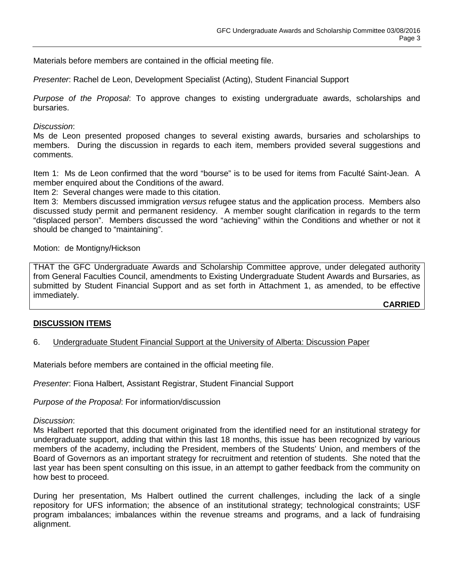Materials before members are contained in the official meeting file.

*Presenter*: Rachel de Leon, Development Specialist (Acting), Student Financial Support

*Purpose of the Proposal*: To approve changes to existing undergraduate awards, scholarships and bursaries.

### *Discussion*:

Ms de Leon presented proposed changes to several existing awards, bursaries and scholarships to members. During the discussion in regards to each item, members provided several suggestions and comments.

Item 1: Ms de Leon confirmed that the word "bourse" is to be used for items from Faculté Saint-Jean. A member enquired about the Conditions of the award.

Item 2: Several changes were made to this citation.

Item 3: Members discussed immigration *versus* refugee status and the application process. Members also discussed study permit and permanent residency. A member sought clarification in regards to the term "displaced person". Members discussed the word "achieving" within the Conditions and whether or not it should be changed to "maintaining".

Motion: de Montigny/Hickson

THAT the GFC Undergraduate Awards and Scholarship Committee approve, under delegated authority from General Faculties Council, amendments to Existing Undergraduate Student Awards and Bursaries, as submitted by Student Financial Support and as set forth in Attachment 1, as amended, to be effective immediately.

**CARRIED**

#### **DISCUSSION ITEMS**

6. Undergraduate Student Financial Support at the University of Alberta: Discussion Paper

Materials before members are contained in the official meeting file.

*Presenter*: Fiona Halbert, Assistant Registrar, Student Financial Support

*Purpose of the Proposal*: For information/discussion

#### *Discussion*:

Ms Halbert reported that this document originated from the identified need for an institutional strategy for undergraduate support, adding that within this last 18 months, this issue has been recognized by various members of the academy, including the President, members of the Students' Union, and members of the Board of Governors as an important strategy for recruitment and retention of students. She noted that the last year has been spent consulting on this issue, in an attempt to gather feedback from the community on how best to proceed.

During her presentation, Ms Halbert outlined the current challenges, including the lack of a single repository for UFS information; the absence of an institutional strategy; technological constraints; USF program imbalances; imbalances within the revenue streams and programs, and a lack of fundraising alignment.